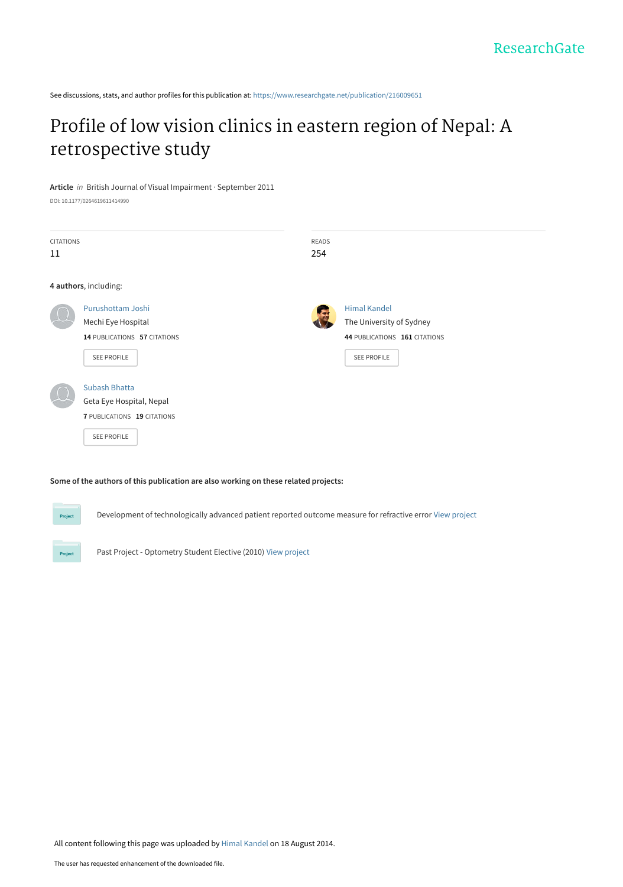See discussions, stats, and author profiles for this publication at: [https://www.researchgate.net/publication/216009651](https://www.researchgate.net/publication/216009651_Profile_of_low_vision_clinics_in_eastern_region_of_Nepal_A_retrospective_study?enrichId=rgreq-394a9cb8b8956d00e9ba653e7e88d87d-XXX&enrichSource=Y292ZXJQYWdlOzIxNjAwOTY1MTtBUzoxMzE1OTU0MDMwMTAwNDhAMTQwODM4NjE5NzI0NQ%3D%3D&el=1_x_2&_esc=publicationCoverPdf)

## [Profile of low vision clinics in eastern region of Nepal: A](https://www.researchgate.net/publication/216009651_Profile_of_low_vision_clinics_in_eastern_region_of_Nepal_A_retrospective_study?enrichId=rgreq-394a9cb8b8956d00e9ba653e7e88d87d-XXX&enrichSource=Y292ZXJQYWdlOzIxNjAwOTY1MTtBUzoxMzE1OTU0MDMwMTAwNDhAMTQwODM4NjE5NzI0NQ%3D%3D&el=1_x_3&_esc=publicationCoverPdf) retrospective study

**Article** in British Journal of Visual Impairment · September 2011

DOI: 10.1177/0264619611414990



#### **Some of the authors of this publication are also working on these related projects:**

Development of technologically advanced patient reported outcome measure for refractive error [View project](https://www.researchgate.net/project/Development-of-technologically-advanced-patient-reported-outcome-measure-for-refractive-error?enrichId=rgreq-394a9cb8b8956d00e9ba653e7e88d87d-XXX&enrichSource=Y292ZXJQYWdlOzIxNjAwOTY1MTtBUzoxMzE1OTU0MDMwMTAwNDhAMTQwODM4NjE5NzI0NQ%3D%3D&el=1_x_9&_esc=publicationCoverPdf)

Past Project - Optometry Student Elective (2010) [View project](https://www.researchgate.net/project/Past-Project-Optometry-Student-Elective-2010?enrichId=rgreq-394a9cb8b8956d00e9ba653e7e88d87d-XXX&enrichSource=Y292ZXJQYWdlOzIxNjAwOTY1MTtBUzoxMzE1OTU0MDMwMTAwNDhAMTQwODM4NjE5NzI0NQ%3D%3D&el=1_x_9&_esc=publicationCoverPdf)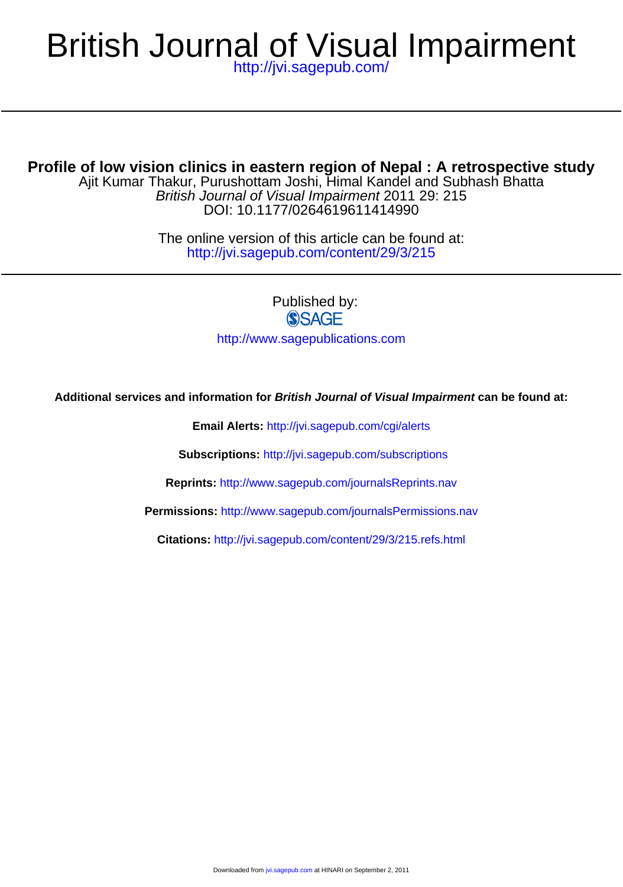## <http://jvi.sagepub.com/> British Journal of Visual Impairment

**Profile of low vision clinics in eastern region of Nepal : A retrospective study**

DOI: 10.1177/0264619611414990 British Journal of Visual Impairment 2011 29: 215 Ajit Kumar Thakur, Purushottam Joshi, Himal Kandel and Subhash Bhatta

> <http://jvi.sagepub.com/content/29/3/215> The online version of this article can be found at:

> > Published by:<br>
> > SAGE <http://www.sagepublications.com>

**Additional services and information for British Journal of Visual Impairment can be found at:**

**Email Alerts:** <http://jvi.sagepub.com/cgi/alerts>

**Subscriptions:** <http://jvi.sagepub.com/subscriptions>

**Reprints:** <http://www.sagepub.com/journalsReprints.nav>

**Permissions:** <http://www.sagepub.com/journalsPermissions.nav>

**Citations:** <http://jvi.sagepub.com/content/29/3/215.refs.html>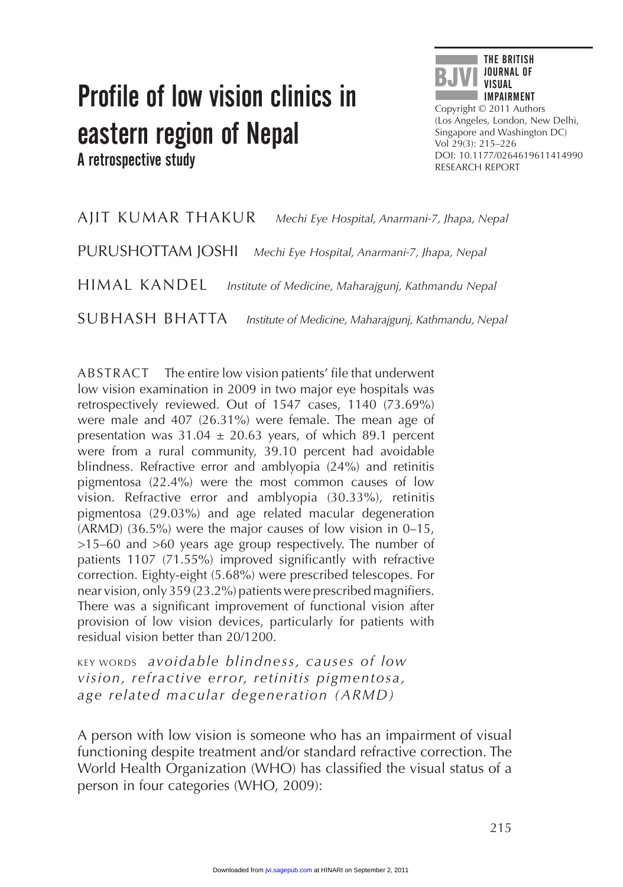# Profile of low vision clinics in eastern region of Nepal A retrospective study



Copyright © 2011 Authors (Los Angeles, London, New Delhi, Singapore and Washington DC) Vol 29(3): 215–226 DOI: 10.1177/0264619611414990 RESEARCH REPORT

AJIT KUMAR THAKUR *Mechi Eye Hospital, Anarmani-7, Jhapa, Nepal* PURUSHOTTAM JOSHI *Mechi Eye Hospital, Anarmani-7, Jhapa, Nepal* HIMAL KANDEL *Institute of Medicine, Maharajgunj, Kathmandu Nepal*

SUBHASH BHATTA *Institute of Medicine, Maharajgunj, Kathmandu, Nepal*

ABSTRACT The entire low vision patients' file that underwent low vision examination in 2009 in two major eye hospitals was retrospectively reviewed. Out of 1547 cases, 1140 (73.69%) were male and 407 (26.31%) were female. The mean age of presentation was  $31.04 \pm 20.63$  years, of which 89.1 percent were from a rural community, 39.10 percent had avoidable blindness. Refractive error and amblyopia (24%) and retinitis pigmentosa (22.4%) were the most common causes of low vision. Refractive error and amblyopia (30.33%), retinitis pigmentosa (29.03%) and age related macular degeneration (ARMD) (36.5%) were the major causes of low vision in 0–15, >15–60 and >60 years age group respectively. The number of patients 1107 (71.55%) improved significantly with refractive correction. Eighty-eight (5.68%) were prescribed telescopes. For near vision, only 359 (23.2%) patients were prescribed magnifiers. There was a significant improvement of functional vision after provision of low vision devices, particularly for patients with residual vision better than 20/1200.

KEY WORDS *avoidable blindness, causes of low vision, refractive error, retinitis pigmentosa, age related macular degeneration (ARMD)*

A person with low vision is someone who has an impairment of visual functioning despite treatment and/or standard refractive correction. The World Health Organization (WHO) has classified the visual status of a person in four categories (WHO, 2009):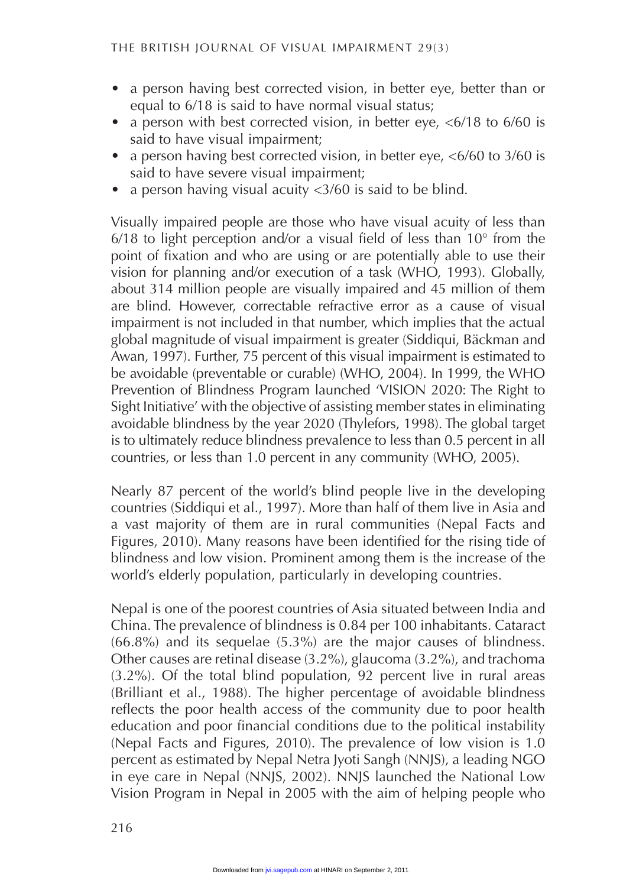- a person having best corrected vision, in better eye, better than or equal to 6/18 is said to have normal visual status;
- a person with best corrected vision, in better eye,  $\langle 6/18 \rangle$  to 6/60 is said to have visual impairment;
- a person having best corrected vision, in better eye,  $\langle 6/60 \rangle$  to 3/60 is said to have severe visual impairment;
- a person having visual acuity  $\langle 3/60 \rangle$  is said to be blind.

Visually impaired people are those who have visual acuity of less than 6/18 to light perception and/or a visual field of less than  $10^{\circ}$  from the point of fixation and who are using or are potentially able to use their vision for planning and/or execution of a task (WHO, 1993). Globally, about 314 million people are visually impaired and 45 million of them are blind. However, correctable refractive error as a cause of visual impairment is not included in that number, which implies that the actual global magnitude of visual impairment is greater (Siddiqui, Bäckman and Awan, 1997). Further, 75 percent of this visual impairment is estimated to be avoidable (preventable or curable) (WHO, 2004). In 1999, the WHO Prevention of Blindness Program launched 'VISION 2020: The Right to Sight Initiative' with the objective of assisting member states in eliminating avoidable blindness by the year 2020 (Thylefors, 1998). The global target is to ultimately reduce blindness prevalence to less than 0.5 percent in all countries, or less than 1.0 percent in any community (WHO, 2005).

Nearly 87 percent of the world's blind people live in the developing countries (Siddiqui et al., 1997). More than half of them live in Asia and a vast majority of them are in rural communities (Nepal Facts and Figures, 2010). Many reasons have been identified for the rising tide of blindness and low vision. Prominent among them is the increase of the world's elderly population, particularly in developing countries.

Nepal is one of the poorest countries of Asia situated between India and China. The prevalence of blindness is 0.84 per 100 inhabitants. Cataract (66.8%) and its sequelae (5.3%) are the major causes of blindness. Other causes are retinal disease (3.2%), glaucoma (3.2%), and trachoma (3.2%). Of the total blind population, 92 percent live in rural areas (Brilliant et al., 1988). The higher percentage of avoidable blindness reflects the poor health access of the community due to poor health education and poor financial conditions due to the political instability (Nepal Facts and Figures, 2010). The prevalence of low vision is 1.0 percent as estimated by Nepal Netra Jyoti Sangh (NNJS), a leading NGO in eye care in Nepal (NNJS, 2002). NNJS launched the National Low Vision Program in Nepal in 2005 with the aim of helping people who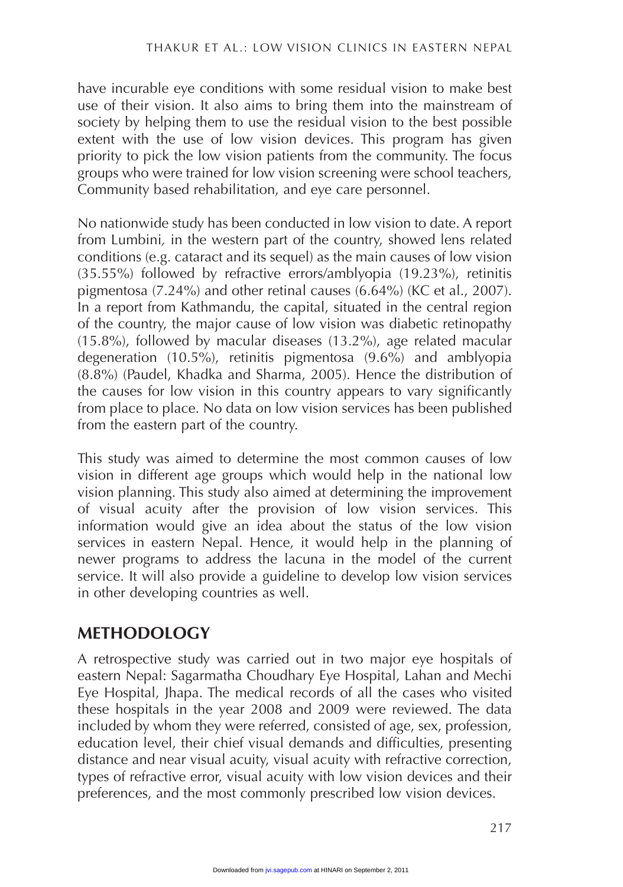have incurable eye conditions with some residual vision to make best use of their vision. It also aims to bring them into the mainstream of society by helping them to use the residual vision to the best possible extent with the use of low vision devices. This program has given priority to pick the low vision patients from the community. The focus groups who were trained for low vision screening were school teachers, Community based rehabilitation, and eye care personnel.

No nationwide study has been conducted in low vision to date. A report from Lumbini*,* in the western part of the country, showed lens related conditions (e.g. cataract and its sequel) as the main causes of low vision  $(35.55%)$  followed by refractive errors/amblyopia  $(19.23%)$ , retinitis pigmentosa (7.24%) and other retinal causes (6.64%) (KC et al., 2007). In a report from Kathmandu, the capital, situated in the central region of the country, the major cause of low vision was diabetic retinopathy (15.8%), followed by macular diseases (13.2%), age related macular degeneration (10.5%), retinitis pigmentosa (9.6%) and amblyopia (8.8%) (Paudel, Khadka and Sharma, 2005). Hence the distribution of the causes for low vision in this country appears to vary significantly from place to place. No data on low vision services has been published from the eastern part of the country.

This study was aimed to determine the most common causes of low vision in different age groups which would help in the national low vision planning. This study also aimed at determining the improvement of visual acuity after the provision of low vision services. This information would give an idea about the status of the low vision services in eastern Nepal. Hence, it would help in the planning of newer programs to address the lacuna in the model of the current service. It will also provide a guideline to develop low vision services in other developing countries as well.

#### **METHODOLOGY**

A retrospective study was carried out in two major eye hospitals of eastern Nepal: Sagarmatha Choudhary Eye Hospital, Lahan and Mechi Eye Hospital, Jhapa. The medical records of all the cases who visited these hospitals in the year 2008 and 2009 were reviewed. The data included by whom they were referred, consisted of age, sex, profession, education level, their chief visual demands and difficulties, presenting distance and near visual acuity, visual acuity with refractive correction, types of refractive error, visual acuity with low vision devices and their preferences, and the most commonly prescribed low vision devices.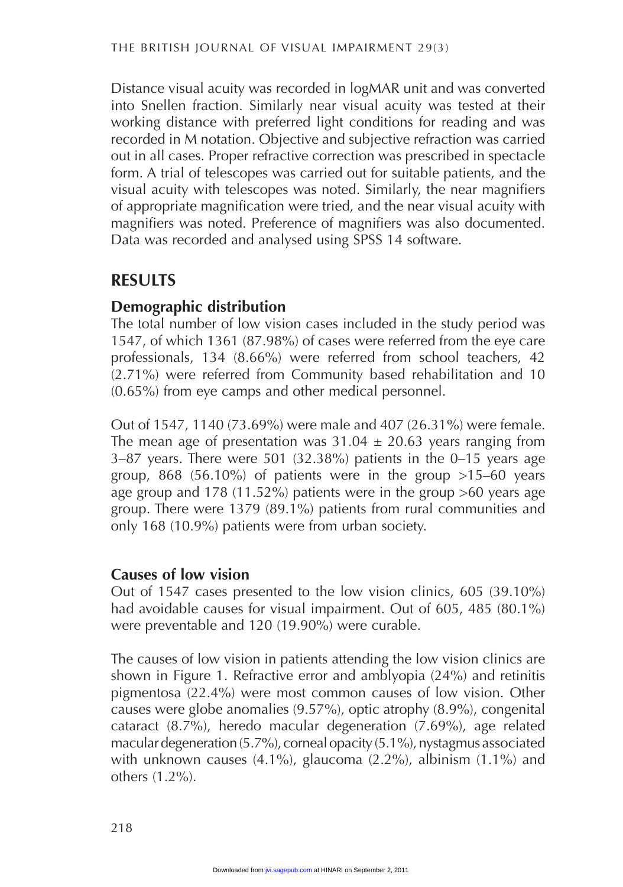Distance visual acuity was recorded in logMAR unit and was converted into Snellen fraction. Similarly near visual acuity was tested at their working distance with preferred light conditions for reading and was recorded in M notation. Objective and subjective refraction was carried out in all cases. Proper refractive correction was prescribed in spectacle form. A trial of telescopes was carried out for suitable patients, and the visual acuity with telescopes was noted. Similarly, the near magnifiers of appropriate magnification were tried, and the near visual acuity with magnifiers was noted. Preference of magnifiers was also documented. Data was recorded and analysed using SPSS 14 software.

#### **RESULTS**

#### **Demographic distribution**

The total number of low vision cases included in the study period was 1547, of which 1361 (87.98%) of cases were referred from the eye care professionals, 134 (8.66%) were referred from school teachers, 42 (2.71%) were referred from Community based rehabilitation and 10 (0.65%) from eye camps and other medical personnel.

Out of 1547, 1140 (73.69%) were male and 407 (26.31%) were female. The mean age of presentation was  $31.04 \pm 20.63$  years ranging from 3–87 years. There were 501 (32.38%) patients in the 0–15 years age group, 868 (56.10%) of patients were in the group  $>15-60$  years age group and 178 (11.52%) patients were in the group >60 years age group. There were 1379 (89.1%) patients from rural communities and only 168 (10.9%) patients were from urban society.

#### **Causes of low vision**

Out of 1547 cases presented to the low vision clinics, 605 (39.10%) had avoidable causes for visual impairment. Out of 605, 485 (80.1%) were preventable and 120 (19.90%) were curable.

The causes of low vision in patients attending the low vision clinics are shown in Figure 1. Refractive error and amblyopia (24%) and retinitis pigmentosa (22.4%) were most common causes of low vision. Other causes were globe anomalies (9.57%), optic atrophy (8.9%), congenital cataract (8.7%), heredo macular degeneration (7.69%), age related macular degeneration (5.7%), corneal opacity (5.1%), nystagmus associated with unknown causes (4.1%), glaucoma (2.2%), albinism (1.1%) and others (1.2%).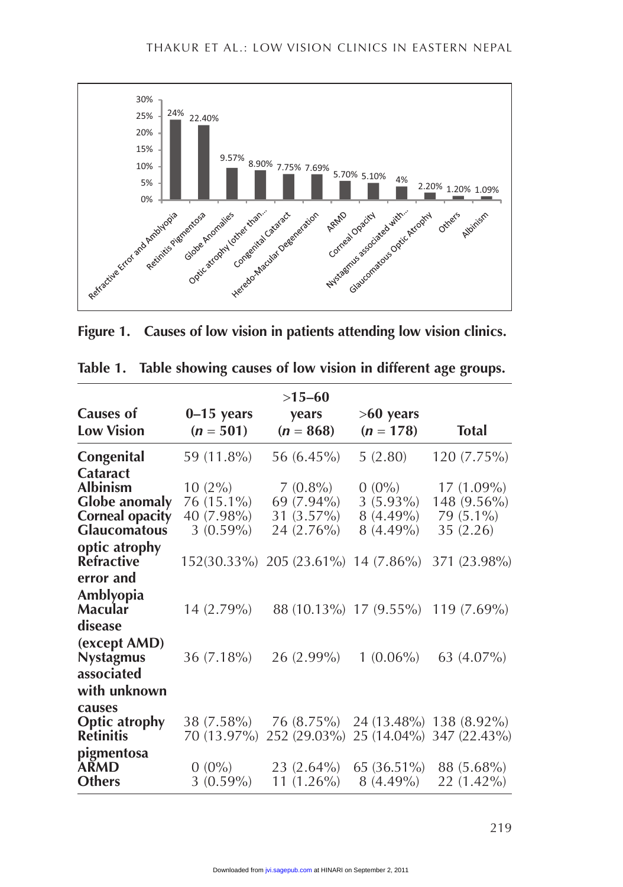

**Figure 1. Causes of low vision in patients attending low vision clinics.**

|                                                                                                             | $>15-60$                                             |                                                                |                                                       |                                                     |  |  |  |  |  |
|-------------------------------------------------------------------------------------------------------------|------------------------------------------------------|----------------------------------------------------------------|-------------------------------------------------------|-----------------------------------------------------|--|--|--|--|--|
| <b>Causes of</b><br><b>Low Vision</b>                                                                       | $0-15$ years<br>$(n = 501)$                          | years<br>$(n = 868)$                                           | $>60$ years<br>$(n = 178)$                            | <b>Total</b>                                        |  |  |  |  |  |
| Congenital                                                                                                  | 59 (11.8%)                                           | 56 $(6.45\%)$                                                  | 5(2.80)                                               | $120(7.75\%)$                                       |  |  |  |  |  |
| <b>Cataract</b><br><b>Albinism</b><br><b>Globe anomaly</b><br><b>Corneal opacity</b><br><b>Glaucomatous</b> | $10(2\%)$<br>76 (15.1%)<br>40 (7.98%)<br>$3(0.59\%)$ | $7(0.8\%)$<br>69 (7.94%)<br>$31(3.57\%)$                       | $0(0\%)$<br>$3(5.93\%)$<br>$8(4.49\%)$<br>$8(4.49\%)$ | $17(1.09\%)$<br>148 (9.56%)<br>79 (5.1%)            |  |  |  |  |  |
| optic atrophy<br>Refractive                                                                                 |                                                      | 24 (2.76%)<br>152(30.33%) 205 (23.61%) 14 (7.86%) 371 (23.98%) |                                                       | 35 (2.26)                                           |  |  |  |  |  |
| error and<br>Amblyopia<br>Macular<br>disease                                                                | $14(2.79\%)$                                         |                                                                |                                                       | 88 (10.13%) 17 (9.55%) 119 (7.69%)                  |  |  |  |  |  |
| (except AMD)<br><b>Nystagmus</b><br>associated<br>with unknown                                              | $36(7.18\%)$                                         | 26 (2.99%)                                                     | $1(0.06\%)$                                           | 63 (4.07%)                                          |  |  |  |  |  |
| causes<br><b>Optic atrophy</b><br><b>Retinitis</b>                                                          | 38 (7.58%)<br>70 (13.97%)                            | 76 (8.75%)<br>252 (29.03%)                                     |                                                       | 24 (13.48%) 138 (8.92%)<br>25 (14.04%) 347 (22.43%) |  |  |  |  |  |
| pigmentosa<br><b>ARMD</b><br><b>Others</b>                                                                  | $0(0\%)$<br>$3(0.59\%)$                              | $23(2.64\%)$<br>11 $(1.26\%)$                                  | $65(36.51\%)$<br>$8(4.49\%)$                          | 88 (5.68%)<br>22 (1.42%)                            |  |  |  |  |  |

| Table 1. | Table showing causes of low vision in different age groups. |  |  |  |
|----------|-------------------------------------------------------------|--|--|--|
|          |                                                             |  |  |  |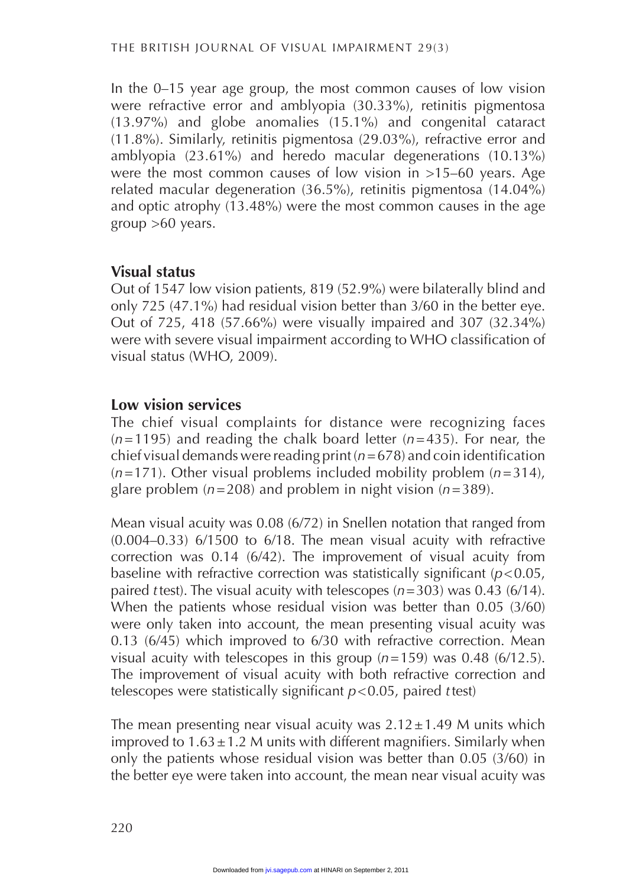In the 0–15 year age group, the most common causes of low vision were refractive error and amblyopia (30.33%), retinitis pigmentosa (13.97%) and globe anomalies (15.1%) and congenital cataract (11.8%). Similarly, retinitis pigmentosa (29.03%), refractive error and amblyopia (23.61%) and heredo macular degenerations (10.13%) were the most common causes of low vision in >15-60 years. Age related macular degeneration (36.5%), retinitis pigmentosa (14.04%) and optic atrophy  $(13.48\%)$  were the most common causes in the age group  $>60$  years.

#### **Visual status**

Out of 1547 low vision patients, 819 (52.9%) were bilaterally blind and only 725 (47.1%) had residual vision better than 3/60 in the better eye. Out of 725, 418 (57.66%) were visually impaired and 307 (32.34%) were with severe visual impairment according to WHO classification of visual status (WHO, 2009).

#### **Low vision services**

The chief visual complaints for distance were recognizing faces  $(n=1195)$  and reading the chalk board letter  $(n=435)$ . For near, the chief visual demands were reading print (*n*=678) and coin identification (*n*=171). Other visual problems included mobility problem (*n*=314), glare problem (*n*=208) and problem in night vision (*n*=389).

Mean visual acuity was 0.08 (6/72) in Snellen notation that ranged from (0.004–0.33) 6/1500 to 6/18. The mean visual acuity with refractive correction was 0.14 (6/42). The improvement of visual acuity from baseline with refractive correction was statistically significant (*p*<0.05, paired *t* test). The visual acuity with telescopes  $(n=303)$  was 0.43 (6/14). When the patients whose residual vision was better than 0.05 (3/60) were only taken into account, the mean presenting visual acuity was 0.13 (6/45) which improved to 6/30 with refractive correction. Mean visual acuity with telescopes in this group  $(n=159)$  was 0.48 (6/12.5). The improvement of visual acuity with both refractive correction and telescopes were statistically significant *p*<0.05, paired *t*test)

The mean presenting near visual acuity was  $2.12 \pm 1.49$  M units which improved to  $1.63 \pm 1.2$  M units with different magnifiers. Similarly when only the patients whose residual vision was better than 0.05  $(3/60)$  in the better eye were taken into account, the mean near visual acuity was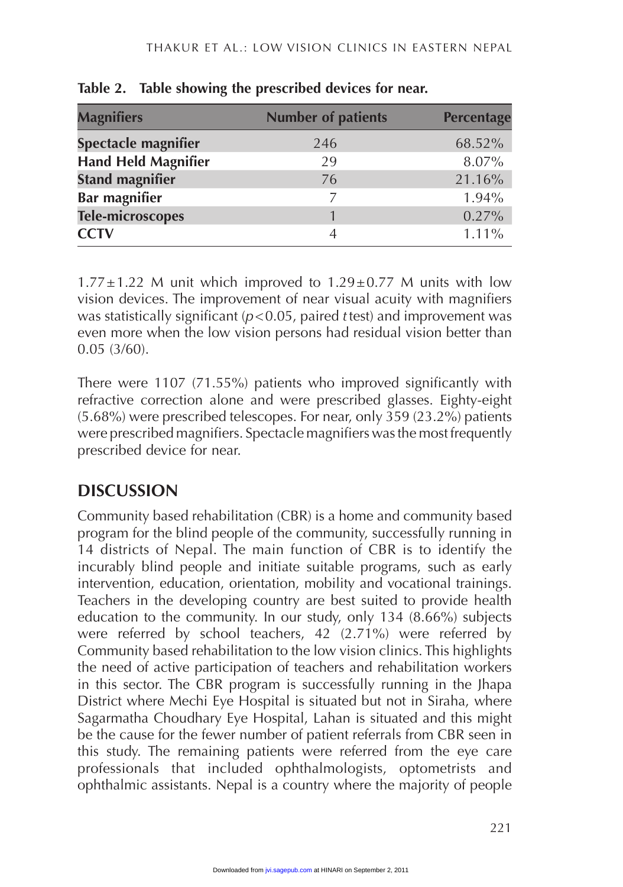|     | <b>Percentage</b>         |  |
|-----|---------------------------|--|
|     |                           |  |
| 246 | 68.52%                    |  |
| 29  | 8.07%                     |  |
| 76  | 21.16%                    |  |
|     | 1.94%                     |  |
|     | 0.27%                     |  |
| 4   | 1.11%                     |  |
|     | <b>Number of patients</b> |  |

**Table 2. Table showing the prescribed devices for near.**

 $1.77\pm1.22$  M unit which improved to  $1.29\pm0.77$  M units with low vision devices. The improvement of near visual acuity with magnifiers was statistically significant (*p*<0.05, paired *t* test) and improvement was even more when the low vision persons had residual vision better than 0.05 (3/60).

There were 1107 (71.55%) patients who improved significantly with refractive correction alone and were prescribed glasses. Eighty-eight  $(5.68\%)$  were prescribed telescopes. For near, only  $359$   $(23.2\%)$  patients were prescribed magnifiers. Spectacle magnifiers was the most frequently prescribed device for near.

## **DISCUSSION**

Community based rehabilitation (CBR) is a home and community based program for the blind people of the community, successfully running in 14 districts of Nepal. The main function of CBR is to identify the incurably blind people and initiate suitable programs, such as early intervention, education, orientation, mobility and vocational trainings. Teachers in the developing country are best suited to provide health education to the community. In our study, only 134 (8.66%) subjects were referred by school teachers, 42 (2.71%) were referred by Community based rehabilitation to the low vision clinics. This highlights the need of active participation of teachers and rehabilitation workers in this sector. The CBR program is successfully running in the Jhapa District where Mechi Eye Hospital is situated but not in Siraha, where Sagarmatha Choudhary Eye Hospital, Lahan is situated and this might be the cause for the fewer number of patient referrals from CBR seen in this study. The remaining patients were referred from the eye care professionals that included ophthalmologists, optometrists and ophthalmic assistants. Nepal is a country where the majority of people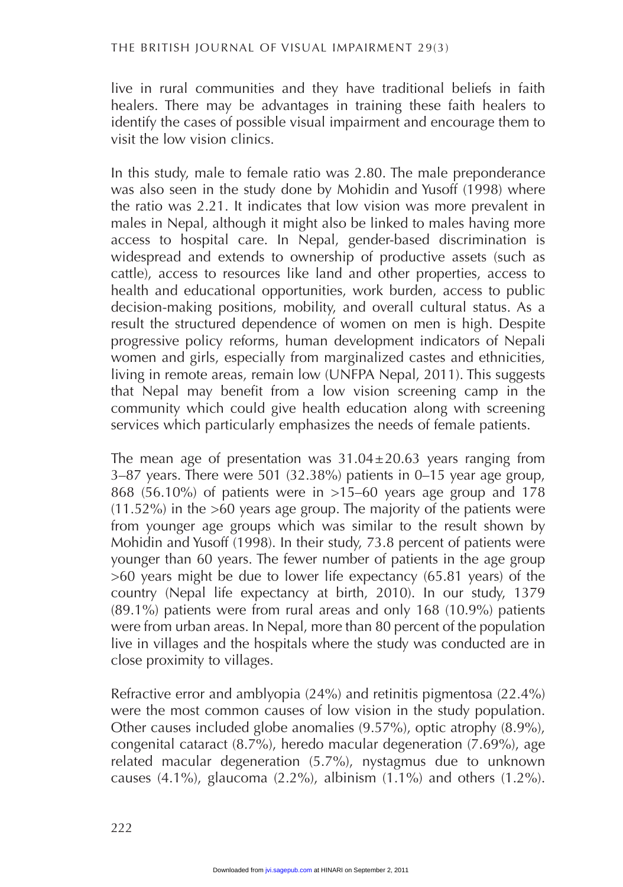live in rural communities and they have traditional beliefs in faith healers. There may be advantages in training these faith healers to identify the cases of possible visual impairment and encourage them to visit the low vision clinics.

In this study, male to female ratio was 2.80. The male preponderance was also seen in the study done by Mohidin and Yusoff (1998) where the ratio was 2.21. It indicates that low vision was more prevalent in males in Nepal, although it might also be linked to males having more access to hospital care. In Nepal, gender-based discrimination is widespread and extends to ownership of productive assets (such as cattle), access to resources like land and other properties, access to health and educational opportunities, work burden, access to public decision-making positions, mobility, and overall cultural status. As a result the structured dependence of women on men is high. Despite progressive policy reforms, human development indicators of Nepali women and girls, especially from marginalized castes and ethnicities, living in remote areas, remain low (UNFPA Nepal, 2011). This suggests that Nepal may benefit from a low vision screening camp in the community which could give health education along with screening services which particularly emphasizes the needs of female patients.

The mean age of presentation was  $31.04 \pm 20.63$  years ranging from 3–87 years. There were 501 (32.38%) patients in  $0-15$  year age group, 868 (56.10%) of patients were in >15–60 years age group and 178  $(11.52\%)$  in the >60 years age group. The majority of the patients were from younger age groups which was similar to the result shown by Mohidin and Yusoff (1998). In their study, 73.8 percent of patients were younger than 60 years. The fewer number of patients in the age group  $>60$  years might be due to lower life expectancy (65.81 years) of the country (Nepal life expectancy at birth, 2010). In our study, 1379 (89.1%) patients were from rural areas and only 168 (10.9%) patients were from urban areas. In Nepal, more than 80 percent of the population live in villages and the hospitals where the study was conducted are in close proximity to villages.

Refractive error and amblyopia (24%) and retinitis pigmentosa (22.4%) were the most common causes of low vision in the study population. Other causes included globe anomalies (9.57%), optic atrophy (8.9%), congenital cataract (8.7%), heredo macular degeneration (7.69%), age related macular degeneration (5.7%), nystagmus due to unknown causes  $(4.1\%)$ , glaucoma  $(2.2\%)$ , albinism  $(1.1\%)$  and others  $(1.2\%)$ .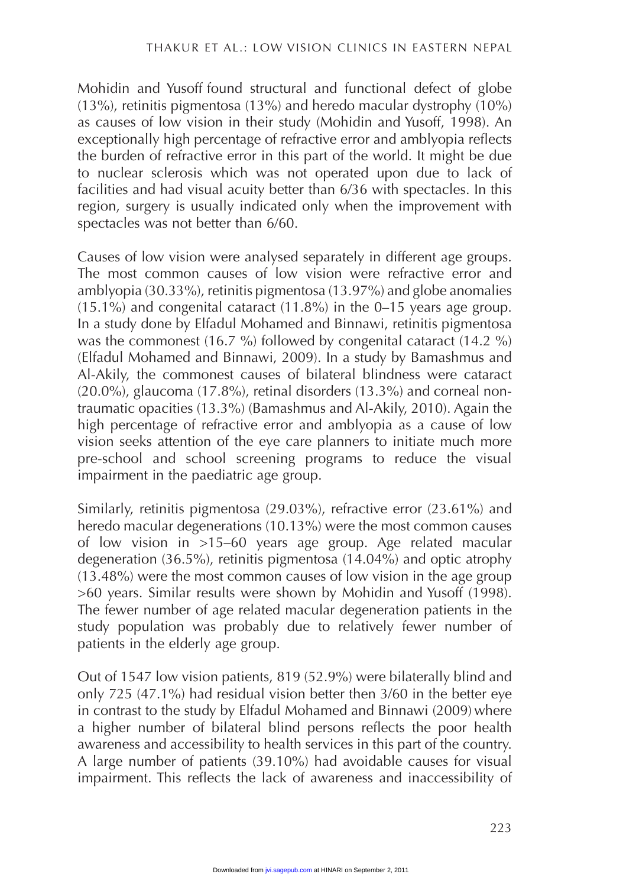Mohidin and Yusoff found structural and functional defect of globe (13%), retinitis pigmentosa (13%) and heredo macular dystrophy  $(10\%)$ as causes of low vision in their study (Mohidin and Yusoff, 1998). An exceptionally high percentage of refractive error and amblyopia reflects the burden of refractive error in this part of the world. It might be due to nuclear sclerosis which was not operated upon due to lack of facilities and had visual acuity better than 6/36 with spectacles. In this region, surgery is usually indicated only when the improvement with spectacles was not better than 6/60.

Causes of low vision were analysed separately in different age groups. The most common causes of low vision were refractive error and amblyopia (30.33%), retinitis pigmentosa (13.97%) and globe anomalies  $(15.1\%)$  and congenital cataract  $(11.8\%)$  in the 0–15 years age group. In a study done by Elfadul Mohamed and Binnawi, retinitis pigmentosa was the commonest (16.7 %) followed by congenital cataract (14.2 %) (Elfadul Mohamed and Binnawi, 2009). In a study by Bamashmus and Al-Akily, the commonest causes of bilateral blindness were cataract  $(20.0\%)$ , glaucoma (17.8%), retinal disorders (13.3%) and corneal nontraumatic opacities (13.3%) (Bamashmus and Al-Akily, 2010). Again the high percentage of refractive error and amblyopia as a cause of low vision seeks attention of the eye care planners to initiate much more pre-school and school screening programs to reduce the visual impairment in the paediatric age group.

Similarly, retinitis pigmentosa (29.03%), refractive error (23.61%) and heredo macular degenerations (10.13%) were the most common causes of low vision in >15–60 years age group. Age related macular degeneration (36.5%), retinitis pigmentosa (14.04%) and optic atrophy (13.48%) were the most common causes of low vision in the age group >60 years. Similar results were shown by Mohidin and Yusoff (1998). The fewer number of age related macular degeneration patients in the study population was probably due to relatively fewer number of patients in the elderly age group.

Out of 1547 low vision patients, 819 (52.9%) were bilaterally blind and only 725 (47.1%) had residual vision better then 3/60 in the better eye in contrast to the study by Elfadul Mohamed and Binnawi (2009) where a higher number of bilateral blind persons reflects the poor health awareness and accessibility to health services in this part of the country. A large number of patients (39.10%) had avoidable causes for visual impairment. This reflects the lack of awareness and inaccessibility of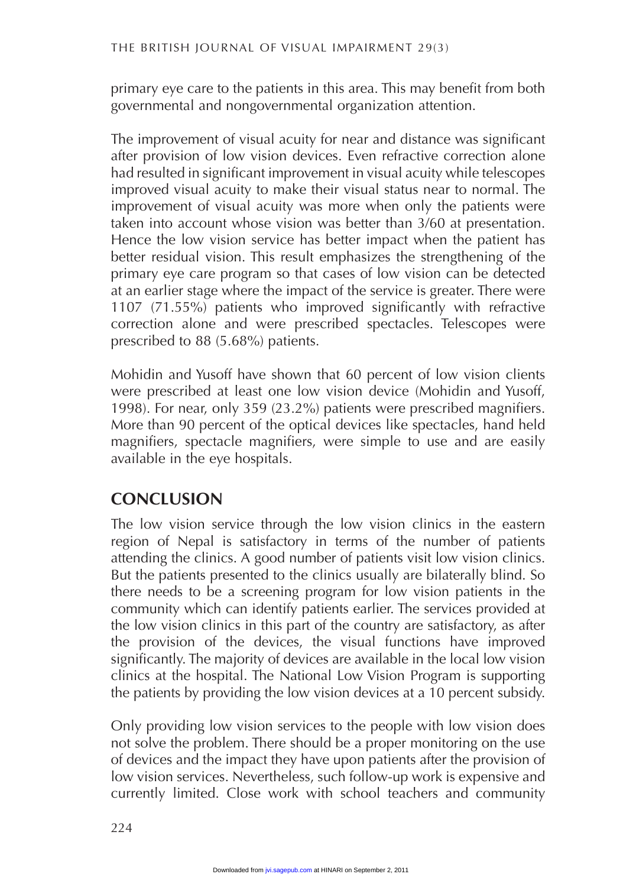primary eye care to the patients in this area. This may benefit from both governmental and nongovernmental organization attention.

The improvement of visual acuity for near and distance was significant after provision of low vision devices. Even refractive correction alone had resulted in significant improvement in visual acuity while telescopes improved visual acuity to make their visual status near to normal. The improvement of visual acuity was more when only the patients were taken into account whose vision was better than 3/60 at presentation. Hence the low vision service has better impact when the patient has better residual vision. This result emphasizes the strengthening of the primary eye care program so that cases of low vision can be detected at an earlier stage where the impact of the service is greater. There were 1107 (71.55%) patients who improved significantly with refractive correction alone and were prescribed spectacles. Telescopes were prescribed to 88 (5.68%) patients.

Mohidin and Yusoff have shown that 60 percent of low vision clients were prescribed at least one low vision device (Mohidin and Yusoff, 1998). For near, only 359 (23.2%) patients were prescribed magnifiers. More than 90 percent of the optical devices like spectacles, hand held magnifiers, spectacle magnifiers, were simple to use and are easily available in the eye hospitals.

### **CONCLUSION**

The low vision service through the low vision clinics in the eastern region of Nepal is satisfactory in terms of the number of patients attending the clinics. A good number of patients visit low vision clinics. But the patients presented to the clinics usually are bilaterally blind. So there needs to be a screening program for low vision patients in the community which can identify patients earlier. The services provided at the low vision clinics in this part of the country are satisfactory, as after the provision of the devices, the visual functions have improved significantly. The majority of devices are available in the local low vision clinics at the hospital. The National Low Vision Program is supporting the patients by providing the low vision devices at a 10 percent subsidy.

Only providing low vision services to the people with low vision does not solve the problem. There should be a proper monitoring on the use of devices and the impact they have upon patients after the provision of low vision services. Nevertheless, such follow-up work is expensive and currently limited. Close work with school teachers and community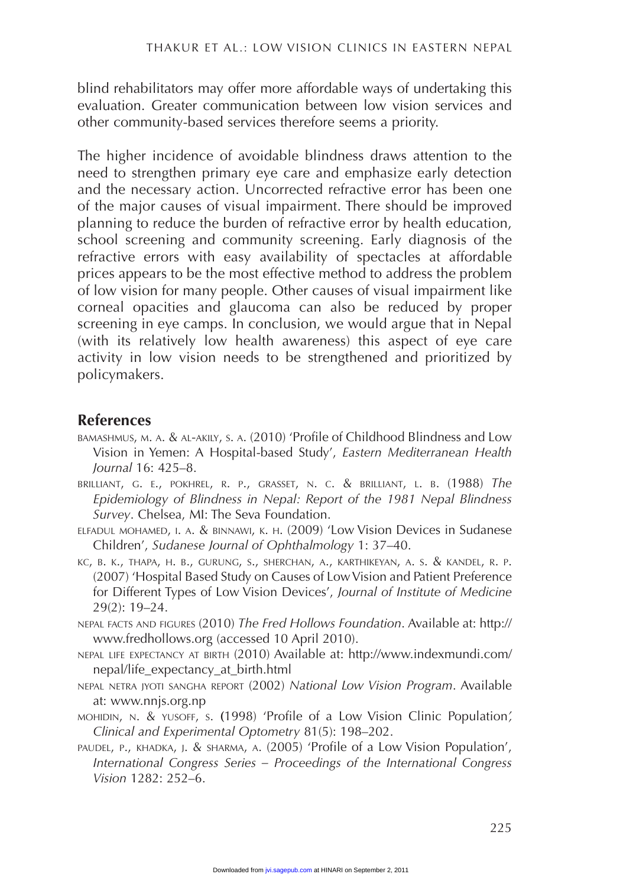blind rehabilitators may offer more affordable ways of undertaking this evaluation. Greater communication between low vision services and other community-based services therefore seems a priority.

The higher incidence of avoidable blindness draws attention to the need to strengthen primary eye care and emphasize early detection and the necessary action. Uncorrected refractive error has been one of the major causes of visual impairment. There should be improved planning to reduce the burden of refractive error by health education, school screening and community screening. Early diagnosis of the refractive errors with easy availability of spectacles at affordable prices appears to be the most effective method to address the problem of low vision for many people. Other causes of visual impairment like corneal opacities and glaucoma can also be reduced by proper screening in eye camps. In conclusion, we would argue that in Nepal (with its relatively low health awareness) this aspect of eye care activity in low vision needs to be strengthened and prioritized by policymakers.

#### **References**

- bamashmus, m. a. & al-akily, s. a. (2010) 'Profile of Childhood Blindness and Low Vision in Yemen: A Hospital-based Study', *Eastern Mediterranean Health Journal* 16: 425–8.
- brilliant, g. e., pokhrel, r. p., grasset, n. c. & brilliant, l. b. (1988) *The Epidemiology of Blindness in Nepal: Report of the 1981 Nepal Blindness Survey*. Chelsea, MI: The Seva Foundation.
- elfadul mohamed, i. a. & binnawi, k. h. (2009) 'Low Vision Devices in Sudanese Children', *Sudanese Journal of Ophthalmology* 1: 37–40.
- kc, b. k., thapa, h. b., gurung, s., sherchan, a., karthikeyan, a. s. & kandel, r. p. (2007) 'Hospital Based Study on Causes of Low Vision and Patient Preference for Different Types of Low Vision Devices', *Journal of Institute of Medicine* 29(2): 19–24.
- nepal facts and figures (2010) *The Fred Hollows Foundation*. Available at: http:// www.fredhollows.org (accessed 10 April 2010).
- nepal life expectancy at birth (2010) Available at: http://www.indexmundi.com/ nepal/life\_expectancy\_at\_birth.html
- nepal netra jyoti sangha report (2002) *National Low Vision Program*. Available at: www.nnjs.org.np
- mohidin, n. & yusoff, s. **(**1998) 'Profile of a Low Vision Clinic Population*', Clinical and Experimental Optometry* 81(5): 198–202.
- paudel, p., khadka, j. & sharma, a. (2005) 'Profile of a Low Vision Population', *International Congress Series – Proceedings of the International Congress Vision* 1282: 252–6.